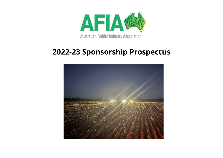

# **2022-23 Sponsorship Prospectus**

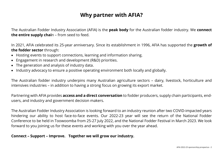## **Why partner with AFIA?**

The Australian Fodder Industry Association (AFIA) is the **peak body** for the Australian fodder industry. We **connect the entire supply chai**n – from seed to feed.

In 2021, AFIA celebrated its 25-year anniversary. Since its establishment in 1996, AFIA has supported the **growth of the fodder sector** through:

- Hosting events to support connections, learning and information sharing.
- Engagement in research and development (R&D) priorities.
- The generation and analysis of industry data.
- Industry advocacy to ensure a positive operating environment both locally and globally.

The Australian fodder industry underpins many Australian agriculture sectors – dairy, livestock, horticulture and intensives industries – in addition to having a strong focus on growing its export market.

Partnering with AFIA provides **access and a direct conversation** to fodder producers, supply chain participants, endusers, and industry and government decision makers.

The Australian Fodder Industry Association is looking forward to an industry reunion after two COVID-impacted years hindering our ability to host face-to-face events. Our 2022-23 year will see the return of the National Fodder Conference to be held in Toowoomba from 25-27 July 2022, and the National Fodder Festival in March 2023. We look forward to you joining us for these events and working with you over the year ahead.

#### **Connect – Support – Improve. Together we will grow our industry.**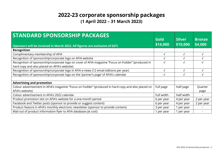### **2022-23 corporate sponsorship packages (1 April 2022 – 31 March 2023)**

| <b>STANDARD SPONSORSHIP PACKAGES</b><br>(Sponsors will be invoiced in March 2022. All figures are exclusive of GST)                                |            | <b>Silver</b><br>\$10,000 | <b>Bronze</b><br>\$4,000 |
|----------------------------------------------------------------------------------------------------------------------------------------------------|------------|---------------------------|--------------------------|
| Recognition                                                                                                                                        |            |                           |                          |
| Complimentary membership of AFIA                                                                                                                   |            | √                         | J.                       |
| Recognition of sponsorship/corporate logo on AFIA website                                                                                          |            | √                         |                          |
| Recognition of sponsorship/corporate logo on cover of AFIA magazine "Focus on Fodder" (produced in<br>hard copy and also placed on AFIA's website) |            | $\sqrt{}$                 | $\mathbf{v}$             |
| Recognition of sponsorship/corporate logo in AFIA e-news (12 email editions per year)                                                              |            | √                         |                          |
| Recognition of sponsorship/corporate logo on the 'partner's page' of AFIA's calendar                                                               |            | √                         |                          |
|                                                                                                                                                    |            |                           |                          |
| <b>Advertising and promotion</b>                                                                                                                   |            |                           |                          |
| Colour advertisement in AFIA's magazine "Focus on Fodder" (produced in hard copy and also placed on<br>AFIA's website)                             | Full page  | Half page                 | Quarter<br>page          |
| Colour advertisement in AFIA's 2022 calendar                                                                                                       | Full width | Half width                |                          |
| Product promotion slot on AFIA's website for a one-month period                                                                                    | 6 per year | 4 per year                | 2 per year               |
| Facebook and Twitter posts (sponsor to provide or suggest content)                                                                                 | 6 per year | 4 per year                | 2 per year               |
| Product feature in AFIA's monthly electronic newsletter (sponsor to provide content)                                                               | 3 per year | per year                  |                          |
| Mail out of product information flyer to AFIA database (at cost)                                                                                   | 1 per year | 1 per year                |                          |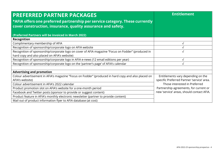| <b>PREFERRED PARTNER PACKAGES</b><br>*AFIA offers one preferred partnership per service category. These currently<br>cover construction, insurance, quality assurance and safety. | <b>Entitlement</b>                         |
|-----------------------------------------------------------------------------------------------------------------------------------------------------------------------------------|--------------------------------------------|
| (Preferred Partners will be invoiced in March 2022)                                                                                                                               |                                            |
| Recognition                                                                                                                                                                       |                                            |
| Complimentary membership of AFIA                                                                                                                                                  |                                            |
| Recognition of sponsorship/corporate logo on AFIA website                                                                                                                         |                                            |
| Recognition of sponsorship/corporate logo on cover of AFIA magazine "Focus on Fodder" (produced in                                                                                |                                            |
| hard copy and also placed on AFIA's website)                                                                                                                                      |                                            |
| Recognition of sponsorship/corporate logo in AFIA e-news (12 email editions per year)                                                                                             | √                                          |
| Recognition of sponsorship/corporate logo on the 'partner's page' of AFIA's calendar                                                                                              |                                            |
|                                                                                                                                                                                   |                                            |
| <b>Advertising and promotion</b>                                                                                                                                                  |                                            |
| Colour advertisement in AFIA's magazine "Focus on Fodder" (produced in hard copy and also placed on                                                                               | Entitlements vary depending on the         |
| AFIA's website)                                                                                                                                                                   | specific Preferred Partner 'service' area. |
| Colour advertisement in AFIA's 2022 calendar                                                                                                                                      | Those interested in Preferred              |
| Product promotion slot on AFIA's website for a one-month period                                                                                                                   | Partnership agreements, for current or     |
| Facebook and Twitter posts (sponsor to provide or suggest content)                                                                                                                | new 'service' areas, should contact AFIA.  |
| Product feature in AFIA's monthly electronic newsletter (partner to provide content)                                                                                              |                                            |
| Mail out of product information flyer to AFIA database (at cost)                                                                                                                  |                                            |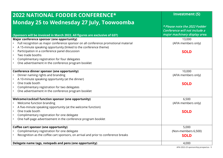| <b>2022 NATIONAL FODDER CONFERENCE*</b><br>Monday 25 to Wednesday 27 July, Toowoomba                                                                                                                                                                                                                                                                                                                           | <b>Investment (S)</b>                                                                           |
|----------------------------------------------------------------------------------------------------------------------------------------------------------------------------------------------------------------------------------------------------------------------------------------------------------------------------------------------------------------------------------------------------------------|-------------------------------------------------------------------------------------------------|
| (Sponsors will be invoiced in March 2022. All figures are exclusive of GST)                                                                                                                                                                                                                                                                                                                                    | * Please note the 2022 Fodder<br>Conference will not include a<br>major machinery display area. |
| Major conference sponsor (one opportunity)<br>Full recognition as major conference sponsor on all conference promotional material<br>A 15-minute speaking opportunity (linked to the conference theme)<br>Participation in a conference panel discussion<br>$\bullet$<br>Two trade booths<br>Complimentary registration for four delegates<br>One advertisement in the conference program booklet<br>$\bullet$ | 13,000<br>(AFIA members only)<br><b>SOLD</b>                                                    |
| <b>Conference dinner sponsor (one opportunity)</b><br>Dinner naming rights and branding<br>A 10-minute speaking opportunity (at the dinner)<br>One trade booth<br>Complimentary registration for two delegates<br>One advertisement in the conference program booklet                                                                                                                                          | 10,000<br>(AFIA members only)<br><b>SOLD</b>                                                    |
| <b>Welcome/cocktail function sponsor (one opportunity)</b><br>Welcome function branding<br>A five-minute speaking opportunity (at the welcome function)<br>One trade booth<br>$\bullet$<br>Complimentary registration for one delegate<br>One half-page advertisement in the conference program booklet                                                                                                        | 6,500<br>(AFIA members only)<br><b>SOLD</b>                                                     |
| Coffee cart sponsor (one opportunity)<br>Complimentary registration for one delegate<br>Recognition as the coffee cart sponsors, on arrival and prior to conference breaks<br>Delegate name tags, notepads and pens (one opportunity)                                                                                                                                                                          | 5,000<br>(Non-members 6,500)<br><b>SOLD</b><br>4,000                                            |

AFIA 2022-23 sponsorship prospectus - 5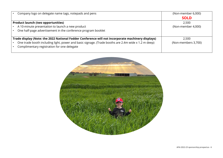| Company logo on delegate name tags, notepads and pens                                               | (Non-member 6,000)  |
|-----------------------------------------------------------------------------------------------------|---------------------|
|                                                                                                     | <b>SOLD</b>         |
| <b>Product launch (two opportunities)</b>                                                           | 2,500               |
| A 10-minute presentation to launch a new product                                                    | (Non-member 4,000)  |
| One half-page advertisement in the conference program booklet                                       |                     |
|                                                                                                     |                     |
| Trade display (Note: the 2022 National Fodder Conference will not incorporate machinery displays)   | 2,500               |
| One trade booth including light, power and basic signage. (Trade booths are 2.4m wide x 1.2 m deep) | (Non-members 3,700) |
| Complimentary registration for one delegate                                                         |                     |
|                                                                                                     |                     |

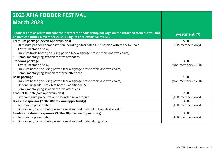| <b>2023 AFIA FODDER FESTIVAL</b>                                                                                                                                              |                     |
|-------------------------------------------------------------------------------------------------------------------------------------------------------------------------------|---------------------|
| <b>March 2023</b>                                                                                                                                                             |                     |
|                                                                                                                                                                               |                     |
| (Sponsors are asked to indicate their preferred sponsorship package on the attached form but will not<br>be invoiced until 1 November 2022. All figures are exclusive of GST) | Investment (\$)     |
| Premium package (seven opportunities)                                                                                                                                         | 5,000               |
| 20-minute paddock demonstration including a facilitated Q&A session with the AFIA Chair                                                                                       | (AFIA members only) |
| 12m x 9m static display<br>$\bullet$                                                                                                                                          |                     |
| 3m x 3m trade booth (including power, fascia signage, trestle table and two chairs)<br>$\bullet$                                                                              |                     |
| Complimentary registration for five attendees<br>$\bullet$                                                                                                                    |                     |
| <b>Standard package</b>                                                                                                                                                       | 3,000               |
| 12m x 9m static display                                                                                                                                                       | (Non-members 5,000) |
| 3m x 3m booth (including power, fascia signage, trestle table and two chairs)<br>$\bullet$                                                                                    |                     |
| Complimentary registration for three attendees<br>$\bullet$                                                                                                                   |                     |
| <b>Basic package</b>                                                                                                                                                          | 1,700               |
| 3m x 3m booth (including power, fascia signage, trestle table and two chairs)                                                                                                 | (Non-members 2,700) |
| Optional upgrade: 3 m x 6 m booth - additional \$500<br>$\bullet$                                                                                                             |                     |
| Complimentary registration for two attendees                                                                                                                                  |                     |
| <b>Product launch (two opportunities)</b>                                                                                                                                     | 2,000               |
| Fifteen-minute presentation to launch a new product<br>$\bullet$                                                                                                              | (AFIA members only) |
| Breakfast sponsor (7.00-8.00am - one opportunity)                                                                                                                             | 3,000               |
| Ten-minute presentation<br>$\bullet$                                                                                                                                          | (AFIA members only) |
| Opportunity to distribute promotional/branded material to breakfast guests                                                                                                    |                     |
| Finale refreshments sponsor (3.30-4.30pm - one opportunity)                                                                                                                   | 3,000               |
| Ten-minute presentation                                                                                                                                                       | (AFIA members only) |
| Opportunity to distribute promotional/branded material to guests                                                                                                              |                     |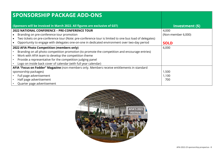| <b>SPONSORSHIP PACKAGE ADD-ONS</b>                                                                     |                    |
|--------------------------------------------------------------------------------------------------------|--------------------|
| (Sponsors will be invoiced in March 2022. All figures are exclusive of GST)                            | Investment (\$)    |
| <b>2022 NATIONAL CONFERENCE - PRE-CONFERENCE TOUR</b>                                                  | 4,000              |
| Branding on pre-conference tour promotion                                                              | (Non-member 6,000) |
| Two tickets on pre-conference tour (Note: pre-conference tour is limited to one bus load of delegates) |                    |
| Opportunity to engage with delegates one-on-one in dedicated environment over two-day period           | <b>SOLD</b>        |
| 2022 AFIA Photo Competition (members only)                                                             | 6,000              |
| Branding on all photo competition promotion (to promote the competition and encourage entries)         |                    |
| Work with AFIA team to develop the competition theme                                                   |                    |
| Provide a representative for the competition judging panel                                             |                    |
| Logo on inside back cover of calendar (with full year calendar)                                        |                    |
| AFIA "Focus on Fodder" Magazine (non-members only. Members receive entitlements in standard            |                    |
| sponsorship packages)                                                                                  | 1,500              |
| Full page advertisement                                                                                | 1,100              |
| Half page advertisement                                                                                | 700                |
| Quarter page advertisement                                                                             |                    |

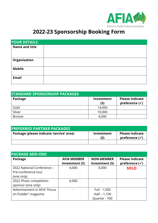

# **2022-23 Sponsorship Booking Form**

| <b>YOUR DETAILS</b>   |  |
|-----------------------|--|
| <b>Name and title</b> |  |
| Organisation          |  |
| <b>Mobile</b>         |  |
| <b>Email</b>          |  |

| <b>STANDARD SPONSORSHIP PACKAGES</b> |                   |                                                     |
|--------------------------------------|-------------------|-----------------------------------------------------|
| Package                              | Investment<br>(S) | <b>Please indicate</b><br>preference $(\checkmark)$ |
| Gold                                 | 14,000            |                                                     |
| Silver                               | 10,000            |                                                     |
| <b>Bronze</b>                        | 4,000             |                                                     |

| <b>PREFERRED PARTNER PACKAGES</b>        |                   |                                                     |
|------------------------------------------|-------------------|-----------------------------------------------------|
| Package (please indicate 'service' area) | Investment<br>(S) | <b>Please indicate</b><br>preference $(\checkmark)$ |
|                                          |                   |                                                     |

| <b>PACKAGE ADD-ONS</b>       |                    |                   |                           |
|------------------------------|--------------------|-------------------|---------------------------|
| Package                      | <b>AFIA MEMBER</b> | <b>NON-MEMBER</b> | <b>Please indicate</b>    |
|                              | Investment (S)     | Investment (S)    | preference $(\checkmark)$ |
| 2022 National Conference -   | 4,000              | 6,000             | <b>SOLD</b>               |
| Pre-conference tour          |                    |                   |                           |
| (one only)                   |                    |                   |                           |
| 2022 Photo competition       | 6,000              |                   |                           |
| sponsor (one only)           |                    |                   |                           |
| Advertisement in AFIA "Focus |                    | Full - 1,500      |                           |
| on Fodder" magazine          |                    | $Half - 1,100$    |                           |
|                              |                    | Quarter - 700     |                           |